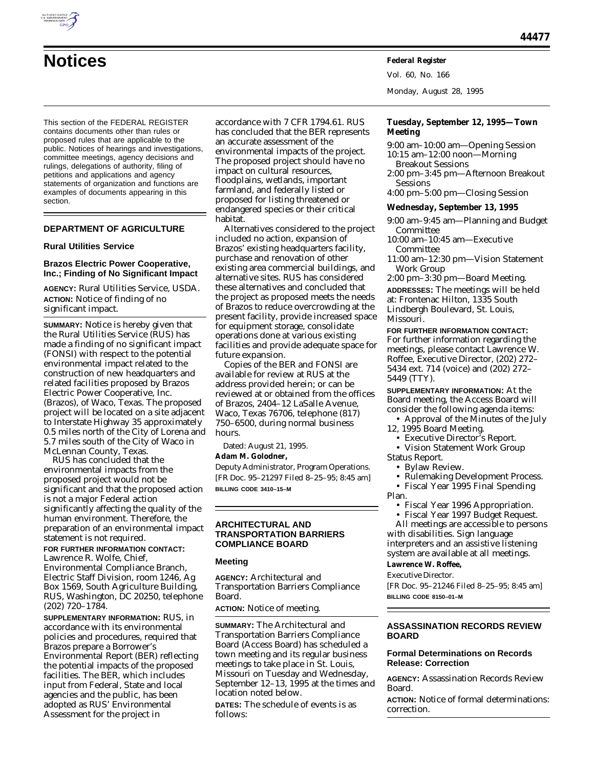

# **Notices Federal Register**

This section of the FEDERAL REGISTER contains documents other than rules or proposed rules that are applicable to the public. Notices of hearings and investigations, committee meetings, agency decisions and rulings, delegations of authority, filing of petitions and applications and agency statements of organization and functions are examples of documents appearing in this section.

## **DEPARTMENT OF AGRICULTURE**

## **Rural Utilities Service**

## **Brazos Electric Power Cooperative, Inc.; Finding of No Significant Impact**

**AGENCY:** Rural Utilities Service, USDA. **ACTION:** Notice of finding of no significant impact.

**SUMMARY:** Notice is hereby given that the Rural Utilities Service (RUS) has made a finding of no significant impact (FONSI) with respect to the potential environmental impact related to the construction of new headquarters and related facilities proposed by Brazos Electric Power Cooperative, Inc. (Brazos), of Waco, Texas. The proposed project will be located on a site adjacent to Interstate Highway 35 approximately 0.5 miles north of the City of Lorena and 5.7 miles south of the City of Waco in McLennan County, Texas.

RUS has concluded that the environmental impacts from the proposed project would not be significant and that the proposed action is not a major Federal action significantly affecting the quality of the human environment. Therefore, the preparation of an environmental impact statement is not required.

**FOR FURTHER INFORMATION CONTACT:** Lawrence R. Wolfe, Chief,

Environmental Compliance Branch, Electric Staff Division, room 1246, Ag Box 1569, South Agriculture Building, RUS, Washington, DC 20250, telephone (202) 720–1784.

**SUPPLEMENTARY INFORMATION:** RUS, in accordance with its environmental policies and procedures, required that Brazos prepare a Borrower's Environmental Report (BER) reflecting the potential impacts of the proposed facilities. The BER, which includes input from Federal, State and local agencies and the public, has been adopted as RUS' Environmental Assessment for the project in

accordance with 7 CFR 1794.61. RUS has concluded that the BER represents an accurate assessment of the environmental impacts of the project. The proposed project should have no impact on cultural resources, floodplains, wetlands, important farmland, and federally listed or proposed for listing threatened or endangered species or their critical habitat.

Alternatives considered to the project included no action, expansion of Brazos' existing headquarters facility, purchase and renovation of other existing area commercial buildings, and alternative sites. RUS has considered these alternatives and concluded that the project as proposed meets the needs of Brazos to reduce overcrowding at the present facility, provide increased space for equipment storage, consolidate operations done at various existing facilities and provide adequate space for future expansion.

Copies of the BER and FONSI are available for review at RUS at the address provided herein; or can be reviewed at or obtained from the offices of Brazos, 2404–12 LaSalle Avenue, Waco, Texas 76706, telephone (817) 750–6500, during normal business hours.

Dated: August 21, 1995.

## **Adam M. Golodner,**

*Deputy Administrator, Program Operations.* [FR Doc. 95–21297 Filed 8–25–95; 8:45 am] **BILLING CODE 3410–15–M**

## **ARCHITECTURAL AND TRANSPORTATION BARRIERS COMPLIANCE BOARD**

#### **Meeting**

**AGENCY:** Architectural and Transportation Barriers Compliance Board.

**ACTION:** Notice of meeting.

**SUMMARY:** The Architectural and Transportation Barriers Compliance Board (Access Board) has scheduled a town meeting and its regular business meetings to take place in St. Louis, Missouri on Tuesday and Wednesday, September 12–13, 1995 at the times and location noted below.

**DATES:** The schedule of events is as follows:

Vol. 60, No. 166

Monday, August 28, 1995

## **Tuesday, September 12, 1995—Town Meeting**

- 9:00 am–10:00 am—Opening Session 10:15 am–12:00 noon—Morning Breakout Sessions
- 2:00 pm–3:45 pm—Afternoon Breakout Sessions
- 4:00 pm–5:00 pm—Closing Session

## **Wednesday, September 13, 1995**

- 9:00 am–9:45 am—Planning and Budget Committee
- 10:00 am–10:45 am—Executive Committee
- 11:00 am–12:30 pm—Vision Statement Work Group

2:00 pm–3:30 pm—Board Meeting.

**ADDRESSES:** The meetings will be held at: Frontenac Hilton, 1335 South Lindbergh Boulevard, St. Louis, Missouri.

**FOR FURTHER INFORMATION CONTACT:** For further information regarding the meetings, please contact Lawrence W. Roffee, Executive Director, (202) 272– 5434 ext. 714 (voice) and (202) 272– 5449 (TTY).

**SUPPLEMENTARY INFORMATION:** At the Board meeting, the Access Board will consider the following agenda items:

- Approval of the Minutes of the July 12, 1995 Board Meeting.
	- Executive Director's Report.
- Vision Statement Work Group
- Status Report.
	- Bylaw Review.
	- Rulemaking Development Process.
- Fiscal Year 1995 Final Spending Plan.
	- Fiscal Year 1996 Appropriation. • Fiscal Year 1997 Budget Request.

All meetings are accessible to persons with disabilities. Sign language interpreters and an assistive listening system are available at all meetings.

## **Lawrence W. Roffee,**

*Executive Director.*

[FR Doc. 95–21246 Filed 8–25–95; 8:45 am] **BILLING CODE 8150–01–M**

## **ASSASSINATION RECORDS REVIEW BOARD**

## **Formal Determinations on Records Release: Correction**

**AGENCY:** Assassination Records Review Board.

**ACTION:** Notice of formal determinations: correction.